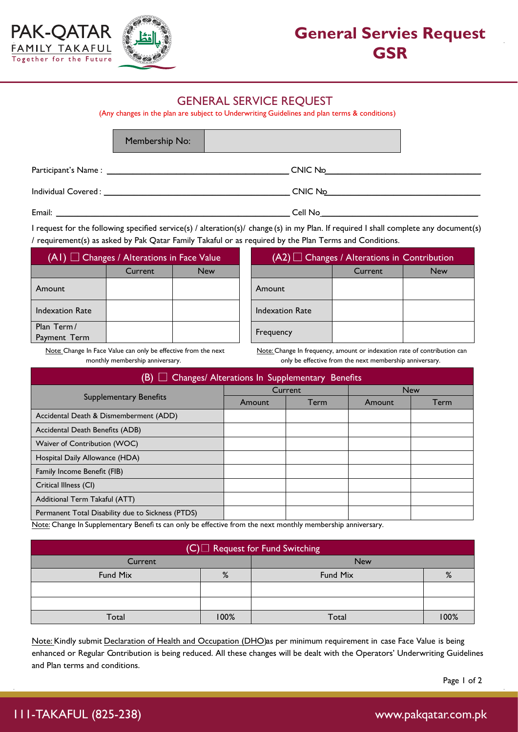



## **General Servies Request GSR**

## GENERAL SERVICE REQUEST

(Any changes in the plan are subject to Underwriting Guidelines and plan terms & conditions)

Membership No:

Participant's Name : \_\_\_\_\_\_\_\_\_\_\_\_\_\_\_\_\_\_\_\_\_\_\_\_\_\_\_\_\_\_\_\_\_\_\_\_\_\_\_\_\_\_ CNIC No: \_\_\_\_\_\_\_\_\_\_\_\_\_\_\_\_\_\_\_\_\_\_\_\_\_\_\_\_\_\_\_\_\_\_\_\_

Individual Covered : \_\_\_\_\_\_\_\_\_\_\_\_\_\_\_\_\_\_\_\_\_\_\_\_\_\_\_\_\_\_\_\_\_\_\_\_\_\_\_\_\_\_\_ CNIC No:\_\_\_\_\_\_\_\_\_\_\_\_\_\_\_\_\_\_\_\_\_\_\_\_\_\_\_\_\_\_\_\_\_\_\_\_

Email: \_\_\_\_\_\_\_\_\_\_\_\_\_\_\_\_\_\_\_\_\_\_\_\_\_\_\_\_\_\_\_\_\_\_\_\_\_\_\_\_\_\_\_\_\_\_\_\_\_\_\_\_\_\_ Cell No: \_\_\_\_\_\_\_\_\_\_\_\_\_\_\_\_\_\_\_\_\_\_\_\_\_\_\_\_\_\_\_\_\_\_\_\_

I request for the following specified service(s) / alteration(s)/ change (s) in my Plan. If required I shall complete any document(s) / requirement(s) as asked by Pak Qatar Family Takaful or as required by the Plan Terms and Conditions.

| $(AI)$ $\Box$ Changes / Alterations in Face Value |         |            | l C<br>(A2)            |
|---------------------------------------------------|---------|------------|------------------------|
|                                                   | Current | <b>New</b> |                        |
| Amount                                            |         |            | Amount                 |
| <b>Indexation Rate</b>                            |         |            | <b>Indexation Rate</b> |
| Plan Term/<br>Payment Term                        |         |            | Frequency              |

| $(A1)$ $\Box$ Changes / Alterations in Face Value |         |            | $(A2)$ $\Box$ Changes / Alterations in Contribution |         |            |
|---------------------------------------------------|---------|------------|-----------------------------------------------------|---------|------------|
|                                                   | Current | <b>New</b> |                                                     | Current | <b>New</b> |
| ount                                              |         |            | Amount                                              |         |            |
| exation Rate                                      |         |            | Indexation Rate                                     |         |            |
| n Term/<br>ment Term                              |         |            | Frequency                                           |         |            |

Note: Change In Face Value can only be effective from the next monthly membership anniversary.

Note: Change In frequency, amount or indexation rate of contribution can only be effective from the next membership anniversary.

| B)<br>Changes/ Alterations In Supplementary Benefits |        |         |            |      |
|------------------------------------------------------|--------|---------|------------|------|
|                                                      |        | Current | <b>New</b> |      |
| <b>Supplementary Benefits</b>                        | Amount | Term    | Amount     | Term |
| Accidental Death & Dismemberment (ADD)               |        |         |            |      |
| Accidental Death Benefits (ADB)                      |        |         |            |      |
| Waiver of Contribution (WOC)                         |        |         |            |      |
| Hospital Daily Allowance (HDA)                       |        |         |            |      |
| Family Income Benefit (FIB)                          |        |         |            |      |
| Critical Illness (CI)                                |        |         |            |      |
| Additional Term Takaful (ATT)                        |        |         |            |      |
| Permanent Total Disability due to Sickness (PTDS)    |        |         |            |      |

Note: Change In Supplementary Benefi ts can only be effective from the next monthly membership anniversary.

| $(C)$ Request for Fund Switching |      |            |      |  |
|----------------------------------|------|------------|------|--|
| Current                          |      | <b>New</b> |      |  |
| %<br>Fund Mix                    |      | Fund Mix   | %    |  |
|                                  |      |            |      |  |
|                                  |      |            |      |  |
| Total                            | 100% | Total      | 100% |  |

Note: Kindly submit Declaration of Health and Occupation (DHO)as per minimum requirement in case Face Value is being enhanced or Regular Contribution is being reduced. All these changes will be dealt with the Operators' Underwriting Guidelines and Plan terms and conditions.

Page 1 of 2